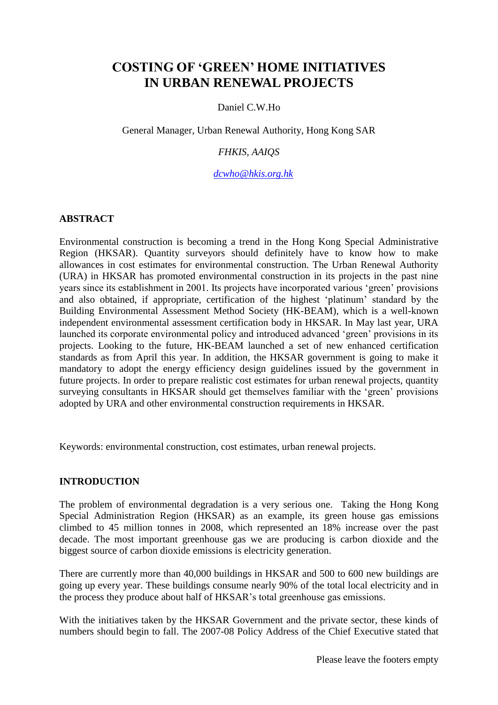# **COSTING OF 'GREEN' HOME INITIATIVES IN URBAN RENEWAL PROJECTS**

## Daniel C.W.Ho.

General Manager, Urban Renewal Authority, Hong Kong SAR

## *FHKIS, AAIQS*

*[dcwho@hkis.org.hk](mailto:dcwho@hkis.org.hk)*

## **ABSTRACT**

Environmental construction is becoming a trend in the Hong Kong Special Administrative Region (HKSAR). Quantity surveyors should definitely have to know how to make allowances in cost estimates for environmental construction. The Urban Renewal Authority (URA) in HKSAR has promoted environmental construction in its projects in the past nine years since its establishment in 2001. Its projects have incorporated various "green" provisions and also obtained, if appropriate, certification of the highest "platinum" standard by the Building Environmental Assessment Method Society (HK-BEAM), which is a well-known independent environmental assessment certification body in HKSAR. In May last year, URA launched its corporate environmental policy and introduced advanced "green" provisions in its projects. Looking to the future, HK-BEAM launched a set of new enhanced certification standards as from April this year. In addition, the HKSAR government is going to make it mandatory to adopt the energy efficiency design guidelines issued by the government in future projects. In order to prepare realistic cost estimates for urban renewal projects, quantity surveying consultants in HKSAR should get themselves familiar with the "green" provisions adopted by URA and other environmental construction requirements in HKSAR.

Keywords: environmental construction, cost estimates, urban renewal projects.

#### **INTRODUCTION**

The problem of environmental degradation is a very serious one. Taking the Hong Kong Special Administration Region (HKSAR) as an example, its green house gas emissions climbed to 45 million tonnes in 2008, which represented an 18% increase over the past decade. The most important greenhouse gas we are producing is carbon dioxide and the biggest source of carbon dioxide emissions is electricity generation.

There are currently more than 40,000 buildings in HKSAR and 500 to 600 new buildings are going up every year. These buildings consume nearly 90% of the total local electricity and in the process they produce about half of HKSAR"s total greenhouse gas emissions.

With the initiatives taken by the HKSAR Government and the private sector, these kinds of numbers should begin to fall. The 2007-08 Policy Address of the Chief Executive stated that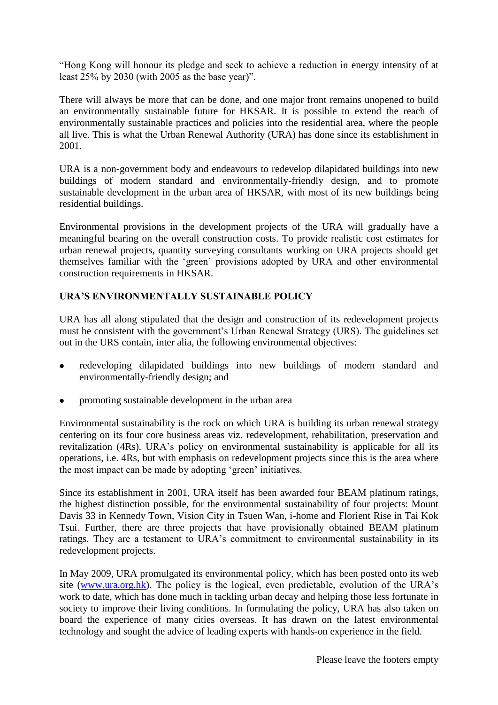"Hong Kong will honour its pledge and seek to achieve a reduction in energy intensity of at least 25% by 2030 (with 2005 as the base year)".

There will always be more that can be done, and one major front remains unopened to build an environmentally sustainable future for HKSAR. It is possible to extend the reach of environmentally sustainable practices and policies into the residential area, where the people all live. This is what the Urban Renewal Authority (URA) has done since its establishment in 2001.

URA is a non-government body and endeavours to redevelop dilapidated buildings into new buildings of modern standard and environmentally-friendly design, and to promote sustainable development in the urban area of HKSAR, with most of its new buildings being residential buildings.

Environmental provisions in the development projects of the URA will gradually have a meaningful bearing on the overall construction costs. To provide realistic cost estimates for urban renewal projects, quantity surveying consultants working on URA projects should get themselves familiar with the "green" provisions adopted by URA and other environmental construction requirements in HKSAR.

## **URA'S ENVIRONMENTALLY SUSTAINABLE POLICY**

URA has all along stipulated that the design and construction of its redevelopment projects must be consistent with the government's Urban Renewal Strategy (URS). The guidelines set out in the URS contain, inter alia, the following environmental objectives:

- redeveloping dilapidated buildings into new buildings of modern standard and environmentally-friendly design; and
- promoting sustainable development in the urban area

Environmental sustainability is the rock on which URA is building its urban renewal strategy centering on its four core business areas viz. redevelopment, rehabilitation, preservation and revitalization (4Rs). URA"s policy on environmental sustainability is applicable for all its operations, i.e. 4Rs, but with emphasis on redevelopment projects since this is the area where the most impact can be made by adopting "green" initiatives.

Since its establishment in 2001, URA itself has been awarded four BEAM platinum ratings, the highest distinction possible, for the environmental sustainability of four projects: Mount Davis 33 in Kennedy Town, Vision City in Tsuen Wan, i-home and Florient Rise in Tai Kok Tsui. Further, there are three projects that have provisionally obtained BEAM platinum ratings. They are a testament to URA"s commitment to environmental sustainability in its redevelopment projects.

In May 2009, URA promulgated its environmental policy, which has been posted onto its web site [\(www.ura.org.hk\)](http://www.ura.org.hk/). The policy is the logical, even predictable, evolution of the URA"s work to date, which has done much in tackling urban decay and helping those less fortunate in society to improve their living conditions. In formulating the policy, URA has also taken on board the experience of many cities overseas. It has drawn on the latest environmental technology and sought the advice of leading experts with hands-on experience in the field.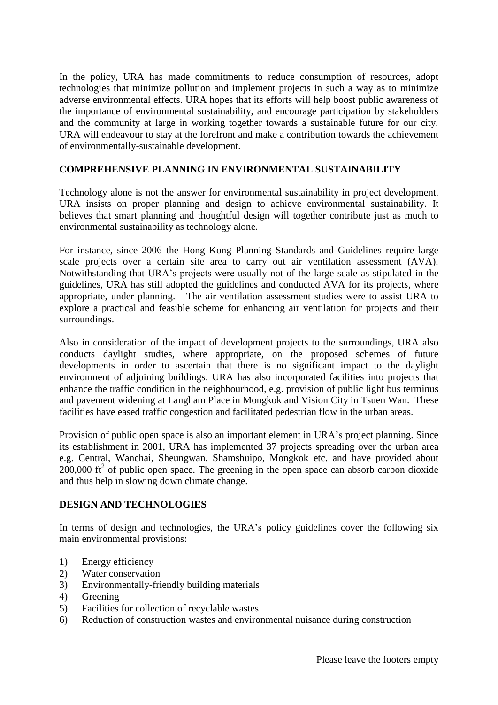In the policy, URA has made commitments to reduce consumption of resources, adopt technologies that minimize pollution and implement projects in such a way as to minimize adverse environmental effects. URA hopes that its efforts will help boost public awareness of the importance of environmental sustainability, and encourage participation by stakeholders and the community at large in working together towards a sustainable future for our city. URA will endeavour to stay at the forefront and make a contribution towards the achievement of environmentally-sustainable development.

## **COMPREHENSIVE PLANNING IN ENVIRONMENTAL SUSTAINABILITY**

Technology alone is not the answer for environmental sustainability in project development. URA insists on proper planning and design to achieve environmental sustainability. It believes that smart planning and thoughtful design will together contribute just as much to environmental sustainability as technology alone.

For instance, since 2006 the Hong Kong Planning Standards and Guidelines require large scale projects over a certain site area to carry out air ventilation assessment (AVA). Notwithstanding that URA"s projects were usually not of the large scale as stipulated in the guidelines, URA has still adopted the guidelines and conducted AVA for its projects, where appropriate, under planning. The air ventilation assessment studies were to assist URA to explore a practical and feasible scheme for enhancing air ventilation for projects and their surroundings.

Also in consideration of the impact of development projects to the surroundings, URA also conducts daylight studies, where appropriate, on the proposed schemes of future developments in order to ascertain that there is no significant impact to the daylight environment of adjoining buildings. URA has also incorporated facilities into projects that enhance the traffic condition in the neighbourhood, e.g. provision of public light bus terminus and pavement widening at Langham Place in Mongkok and Vision City in Tsuen Wan. These facilities have eased traffic congestion and facilitated pedestrian flow in the urban areas.

Provision of public open space is also an important element in URA"s project planning. Since its establishment in 2001, URA has implemented 37 projects spreading over the urban area e.g. Central, Wanchai, Sheungwan, Shamshuipo, Mongkok etc. and have provided about  $200,000$  ft<sup>2</sup> of public open space. The greening in the open space can absorb carbon dioxide and thus help in slowing down climate change.

#### **DESIGN AND TECHNOLOGIES**

In terms of design and technologies, the URA's policy guidelines cover the following six main environmental provisions:

- 1) Energy efficiency
- 2) Water conservation
- 3) Environmentally-friendly building materials
- 4) Greening
- 5) Facilities for collection of recyclable wastes
- 6) Reduction of construction wastes and environmental nuisance during construction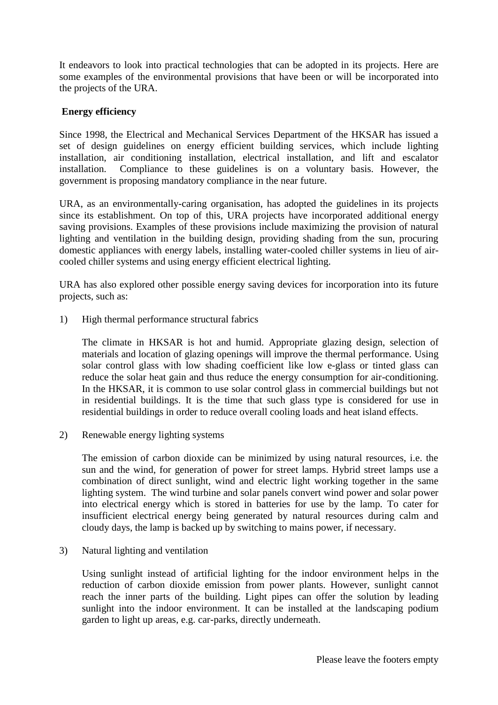It endeavors to look into practical technologies that can be adopted in its projects. Here are some examples of the environmental provisions that have been or will be incorporated into the projects of the URA.

## **Energy efficiency**

Since 1998, the Electrical and Mechanical Services Department of the HKSAR has issued a set of design guidelines on energy efficient building services, which include lighting installation, air conditioning installation, electrical installation, and lift and escalator installation. Compliance to these guidelines is on a voluntary basis. However, the government is proposing mandatory compliance in the near future.

URA, as an environmentally-caring organisation, has adopted the guidelines in its projects since its establishment. On top of this, URA projects have incorporated additional energy saving provisions. Examples of these provisions include maximizing the provision of natural lighting and ventilation in the building design, providing shading from the sun, procuring domestic appliances with energy labels, installing water-cooled chiller systems in lieu of aircooled chiller systems and using energy efficient electrical lighting.

URA has also explored other possible energy saving devices for incorporation into its future projects, such as:

1) High thermal performance structural fabrics

The climate in HKSAR is hot and humid. Appropriate glazing design, selection of materials and location of glazing openings will improve the thermal performance. Using solar control glass with low shading coefficient like low e-glass or tinted glass can reduce the solar heat gain and thus reduce the energy consumption for air-conditioning. In the HKSAR, it is common to use solar control glass in commercial buildings but not in residential buildings. It is the time that such glass type is considered for use in residential buildings in order to reduce overall cooling loads and heat island effects.

2) Renewable energy lighting systems

The emission of carbon dioxide can be minimized by using natural resources, i.e. the sun and the wind, for generation of power for street lamps. Hybrid street lamps use a combination of direct sunlight, wind and electric light working together in the same lighting system. The wind turbine and solar panels convert wind power and solar power into electrical energy which is stored in batteries for use by the lamp. To cater for insufficient electrical energy being generated by natural resources during calm and cloudy days, the lamp is backed up by switching to mains power, if necessary.

3) Natural lighting and ventilation

Using sunlight instead of artificial lighting for the indoor environment helps in the reduction of carbon dioxide emission from power plants. However, sunlight cannot reach the inner parts of the building. Light pipes can offer the solution by leading sunlight into the indoor environment. It can be installed at the landscaping podium garden to light up areas, e.g. car-parks, directly underneath.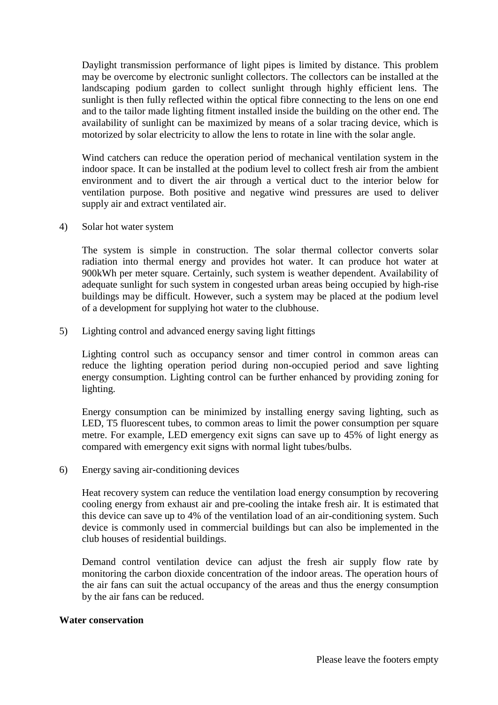Daylight transmission performance of light pipes is limited by distance. This problem may be overcome by electronic sunlight collectors. The collectors can be installed at the landscaping podium garden to collect sunlight through highly efficient lens. The sunlight is then fully reflected within the optical fibre connecting to the lens on one end and to the tailor made lighting fitment installed inside the building on the other end. The availability of sunlight can be maximized by means of a solar tracing device, which is motorized by solar electricity to allow the lens to rotate in line with the solar angle.

Wind catchers can reduce the operation period of mechanical ventilation system in the indoor space. It can be installed at the podium level to collect fresh air from the ambient environment and to divert the air through a vertical duct to the interior below for ventilation purpose. Both positive and negative wind pressures are used to deliver supply air and extract ventilated air.

4) Solar hot water system

The system is simple in construction. The solar thermal collector converts solar radiation into thermal energy and provides hot water. It can produce hot water at 900kWh per meter square. Certainly, such system is weather dependent. Availability of adequate sunlight for such system in congested urban areas being occupied by high-rise buildings may be difficult. However, such a system may be placed at the podium level of a development for supplying hot water to the clubhouse.

5) Lighting control and advanced energy saving light fittings

Lighting control such as occupancy sensor and timer control in common areas can reduce the lighting operation period during non-occupied period and save lighting energy consumption. Lighting control can be further enhanced by providing zoning for lighting.

Energy consumption can be minimized by installing energy saving lighting, such as LED, T5 fluorescent tubes, to common areas to limit the power consumption per square metre. For example, LED emergency exit signs can save up to 45% of light energy as compared with emergency exit signs with normal light tubes/bulbs.

6) Energy saving air-conditioning devices

Heat recovery system can reduce the ventilation load energy consumption by recovering cooling energy from exhaust air and pre-cooling the intake fresh air. It is estimated that this device can save up to 4% of the ventilation load of an air-conditioning system. Such device is commonly used in commercial buildings but can also be implemented in the club houses of residential buildings.

Demand control ventilation device can adjust the fresh air supply flow rate by monitoring the carbon dioxide concentration of the indoor areas. The operation hours of the air fans can suit the actual occupancy of the areas and thus the energy consumption by the air fans can be reduced.

#### **Water conservation**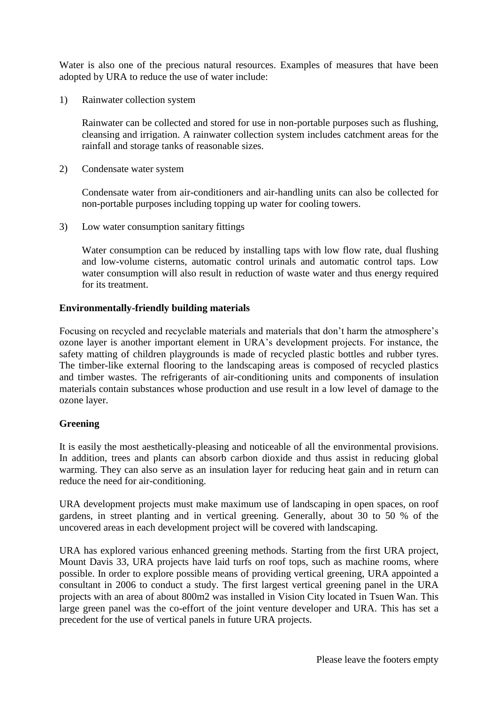Water is also one of the precious natural resources. Examples of measures that have been adopted by URA to reduce the use of water include:

1) Rainwater collection system

Rainwater can be collected and stored for use in non-portable purposes such as flushing, cleansing and irrigation. A rainwater collection system includes catchment areas for the rainfall and storage tanks of reasonable sizes.

2) Condensate water system

Condensate water from air-conditioners and air-handling units can also be collected for non-portable purposes including topping up water for cooling towers.

3) Low water consumption sanitary fittings

Water consumption can be reduced by installing taps with low flow rate, dual flushing and low-volume cisterns, automatic control urinals and automatic control taps. Low water consumption will also result in reduction of waste water and thus energy required for its treatment.

## **Environmentally-friendly building materials**

Focusing on recycled and recyclable materials and materials that don"t harm the atmosphere"s ozone layer is another important element in URA"s development projects. For instance, the safety matting of children playgrounds is made of recycled plastic bottles and rubber tyres. The timber-like external flooring to the landscaping areas is composed of recycled plastics and timber wastes. The refrigerants of air-conditioning units and components of insulation materials contain substances whose production and use result in a low level of damage to the ozone layer.

## **Greening**

It is easily the most aesthetically-pleasing and noticeable of all the environmental provisions. In addition, trees and plants can absorb carbon dioxide and thus assist in reducing global warming. They can also serve as an insulation layer for reducing heat gain and in return can reduce the need for air-conditioning.

URA development projects must make maximum use of landscaping in open spaces, on roof gardens, in street planting and in vertical greening. Generally, about 30 to 50 % of the uncovered areas in each development project will be covered with landscaping.

URA has explored various enhanced greening methods. Starting from the first URA project, Mount Davis 33, URA projects have laid turfs on roof tops, such as machine rooms, where possible. In order to explore possible means of providing vertical greening, URA appointed a consultant in 2006 to conduct a study. The first largest vertical greening panel in the URA projects with an area of about 800m2 was installed in Vision City located in Tsuen Wan. This large green panel was the co-effort of the joint venture developer and URA. This has set a precedent for the use of vertical panels in future URA projects.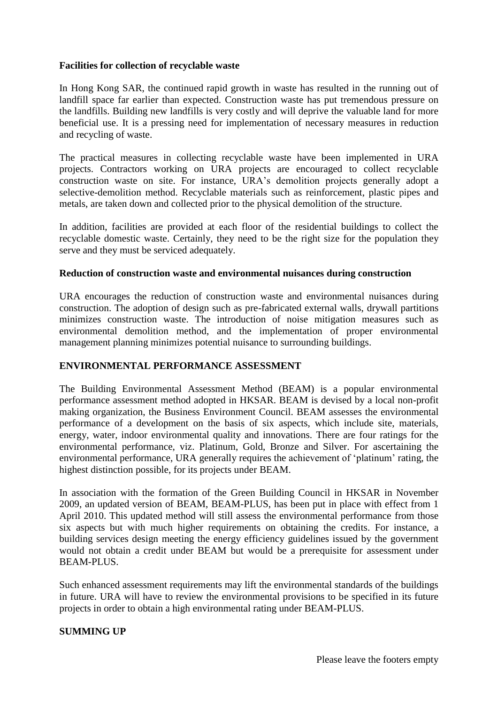## **Facilities for collection of recyclable waste**

In Hong Kong SAR, the continued rapid growth in waste has resulted in the running out of landfill space far earlier than expected. Construction waste has put tremendous pressure on the landfills. Building new landfills is very costly and will deprive the valuable land for more beneficial use. It is a pressing need for implementation of necessary measures in reduction and recycling of waste.

The practical measures in collecting recyclable waste have been implemented in URA projects. Contractors working on URA projects are encouraged to collect recyclable construction waste on site. For instance, URA"s demolition projects generally adopt a selective-demolition method. Recyclable materials such as reinforcement, plastic pipes and metals, are taken down and collected prior to the physical demolition of the structure.

In addition, facilities are provided at each floor of the residential buildings to collect the recyclable domestic waste. Certainly, they need to be the right size for the population they serve and they must be serviced adequately.

#### **Reduction of construction waste and environmental nuisances during construction**

URA encourages the reduction of construction waste and environmental nuisances during construction. The adoption of design such as pre-fabricated external walls, drywall partitions minimizes construction waste. The introduction of noise mitigation measures such as environmental demolition method, and the implementation of proper environmental management planning minimizes potential nuisance to surrounding buildings.

## **ENVIRONMENTAL PERFORMANCE ASSESSMENT**

The Building Environmental Assessment Method (BEAM) is a popular environmental performance assessment method adopted in HKSAR. BEAM is devised by a local non-profit making organization, the Business Environment Council. BEAM assesses the environmental performance of a development on the basis of six aspects, which include site, materials, energy, water, indoor environmental quality and innovations. There are four ratings for the environmental performance, viz. Platinum, Gold, Bronze and Silver. For ascertaining the environmental performance, URA generally requires the achievement of 'platinum' rating, the highest distinction possible, for its projects under BEAM.

In association with the formation of the Green Building Council in HKSAR in November 2009, an updated version of BEAM, BEAM-PLUS, has been put in place with effect from 1 April 2010. This updated method will still assess the environmental performance from those six aspects but with much higher requirements on obtaining the credits. For instance, a building services design meeting the energy efficiency guidelines issued by the government would not obtain a credit under BEAM but would be a prerequisite for assessment under BEAM-PLUS.

Such enhanced assessment requirements may lift the environmental standards of the buildings in future. URA will have to review the environmental provisions to be specified in its future projects in order to obtain a high environmental rating under BEAM-PLUS.

#### **SUMMING UP**